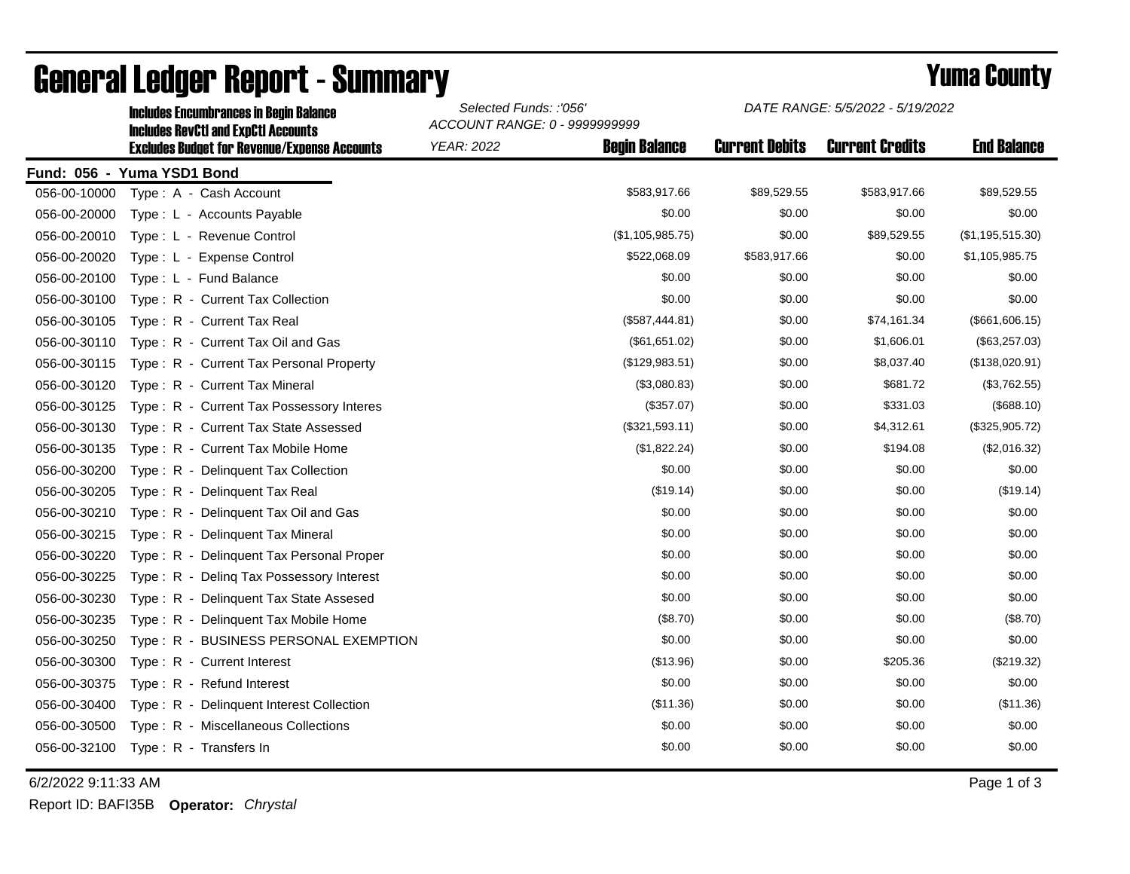|              | <b>Includes RevCtI and ExpCtI Accounts</b>          | ACCOUNT RANGE: 0 - 9999999999 |                      |                       |                        |                    |  |
|--------------|-----------------------------------------------------|-------------------------------|----------------------|-----------------------|------------------------|--------------------|--|
|              | <b>Excludes Budget for Revenue/Expense Accounts</b> | <b>YEAR: 2022</b>             | <b>Begin Balance</b> | <b>Current Debits</b> | <b>Current Credits</b> | <b>End Balance</b> |  |
|              | Fund: 056 - Yuma YSD1 Bond                          |                               |                      |                       |                        |                    |  |
| 056-00-10000 | Type: A - Cash Account                              |                               | \$583,917.66         | \$89,529.55           | \$583,917.66           | \$89,529.55        |  |
| 056-00-20000 | Type: L - Accounts Payable                          |                               | \$0.00               | \$0.00                | \$0.00                 | \$0.00             |  |
| 056-00-20010 | Type: L - Revenue Control                           |                               | (\$1,105,985.75)     | \$0.00                | \$89,529.55            | (\$1,195,515.30)   |  |
| 056-00-20020 | Type: L - Expense Control                           |                               | \$522,068.09         | \$583,917.66          | \$0.00                 | \$1,105,985.75     |  |
| 056-00-20100 | Type: L - Fund Balance                              |                               | \$0.00               | \$0.00                | \$0.00                 | \$0.00             |  |
| 056-00-30100 | Type: R - Current Tax Collection                    |                               | \$0.00               | \$0.00                | \$0.00                 | \$0.00             |  |
| 056-00-30105 | Type: R - Current Tax Real                          |                               | (\$587,444.81)       | \$0.00                | \$74,161.34            | (\$661,606.15)     |  |
| 056-00-30110 | Type: R - Current Tax Oil and Gas                   |                               | (\$61,651.02)        | \$0.00                | \$1,606.01             | (\$63,257.03)      |  |
| 056-00-30115 | Type: R - Current Tax Personal Property             |                               | (\$129,983.51)       | \$0.00                | \$8,037.40             | (\$138,020.91)     |  |
| 056-00-30120 | Type: R - Current Tax Mineral                       |                               | (\$3,080.83)         | \$0.00                | \$681.72               | (\$3,762.55)       |  |
| 056-00-30125 | Type: R - Current Tax Possessory Interes            |                               | (\$357.07)           | \$0.00                | \$331.03               | (\$688.10)         |  |
| 056-00-30130 | Type: R - Current Tax State Assessed                |                               | (\$321,593.11)       | \$0.00                | \$4,312.61             | (\$325,905.72)     |  |
| 056-00-30135 | Type: R - Current Tax Mobile Home                   |                               | (\$1,822.24)         | \$0.00                | \$194.08               | (\$2,016.32)       |  |
| 056-00-30200 | Type: R - Delinquent Tax Collection                 |                               | \$0.00               | \$0.00                | \$0.00                 | \$0.00             |  |
| 056-00-30205 | Type: R - Delinquent Tax Real                       |                               | (\$19.14)            | \$0.00                | \$0.00                 | (\$19.14)          |  |
| 056-00-30210 | Type: R - Delinquent Tax Oil and Gas                |                               | \$0.00               | \$0.00                | \$0.00                 | \$0.00             |  |
| 056-00-30215 | Type: R - Delinquent Tax Mineral                    |                               | \$0.00               | \$0.00                | \$0.00                 | \$0.00             |  |
| 056-00-30220 | Type: R - Delinquent Tax Personal Proper            |                               | \$0.00               | \$0.00                | \$0.00                 | \$0.00             |  |
| 056-00-30225 | Type: R - Deling Tax Possessory Interest            |                               | \$0.00               | \$0.00                | \$0.00                 | \$0.00             |  |
| 056-00-30230 | Type: R - Delinquent Tax State Assesed              |                               | \$0.00               | \$0.00                | \$0.00                 | \$0.00             |  |
| 056-00-30235 | Type: R - Delinquent Tax Mobile Home                |                               | (\$8.70)             | \$0.00                | \$0.00                 | (\$8.70)           |  |
| 056-00-30250 | Type: R - BUSINESS PERSONAL EXEMPTION               |                               | \$0.00               | \$0.00                | \$0.00                 | \$0.00             |  |
| 056-00-30300 | Type: R - Current Interest                          |                               | (\$13.96)            | \$0.00                | \$205.36               | (\$219.32)         |  |
| 056-00-30375 | Type: R - Refund Interest                           |                               | \$0.00               | \$0.00                | \$0.00                 | \$0.00             |  |
| 056-00-30400 | Type: R - Delinquent Interest Collection            |                               | (\$11.36)            | \$0.00                | \$0.00                 | (\$11.36)          |  |
| 056-00-30500 | Type: R - Miscellaneous Collections                 |                               | \$0.00               | \$0.00                | \$0.00                 | \$0.00             |  |
| 056-00-32100 | Type: R - Transfers In                              |                               | \$0.00               | \$0.00                | \$0.00                 | \$0.00             |  |
|              |                                                     |                               |                      |                       |                        |                    |  |

## General Ledger Report - Summary **Example 2018** Yuma County

Includes Encumbrances in Begin Balance *Selected Funds: :'056'*

6/2/2022 9:11:33 AM Page 1 of 3

Report ID: BAFI35B **Operator:** *Chrystal*

*DATE RANGE: 5/5/2022 - 5/19/2022*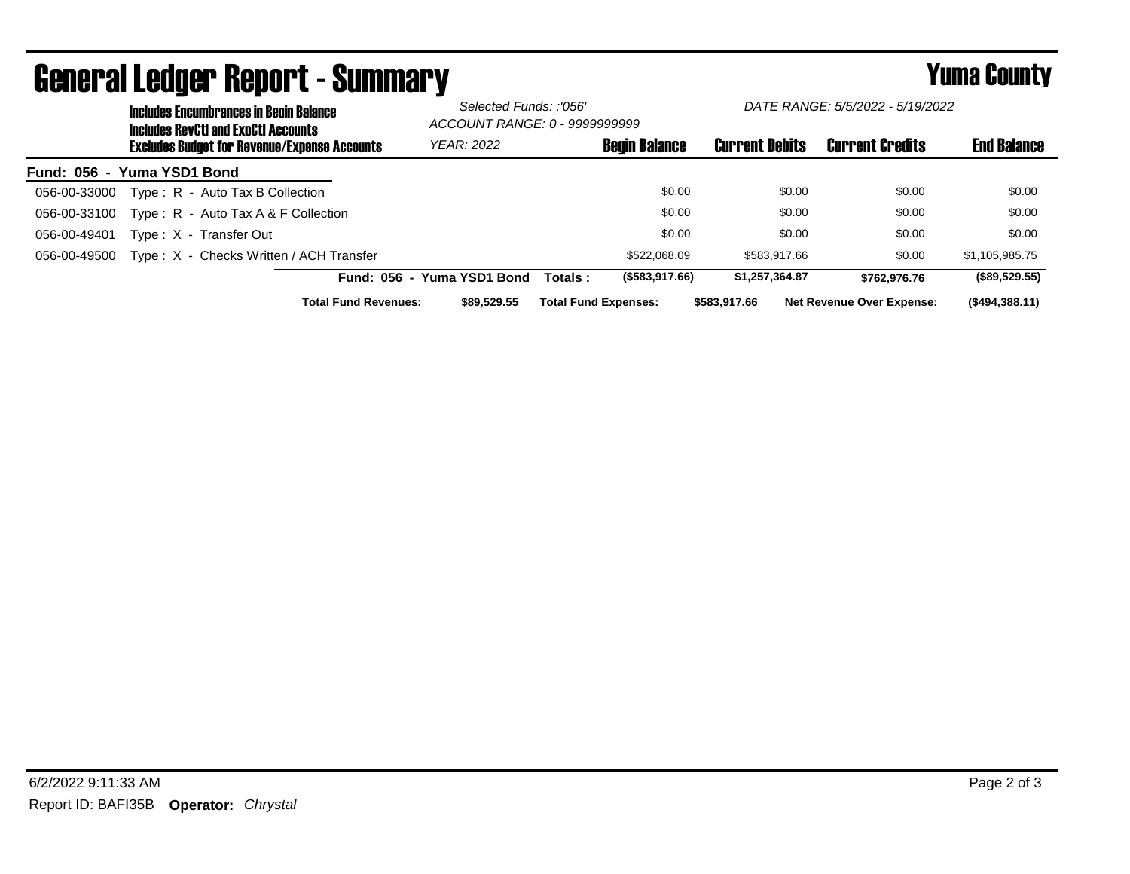|                            | <b>Includes Encumbrances in Begin Balance</b><br><b>Includes RevCtI and ExpCtI Accounts</b><br><b>Excludes Budget for Revenue/Expense Accounts</b> |                                         |                            | Selected Funds: :'056'<br>ACCOUNT RANGE: 0 - 9999999999 |                       | DATE RANGE: 5/5/2022 - 5/19/2022 |                    |  |
|----------------------------|----------------------------------------------------------------------------------------------------------------------------------------------------|-----------------------------------------|----------------------------|---------------------------------------------------------|-----------------------|----------------------------------|--------------------|--|
|                            |                                                                                                                                                    |                                         | <b>YEAR: 2022</b>          | <b>Begin Balance</b>                                    | <b>Current Debits</b> | <b>Current Credits</b>           | <b>End Balance</b> |  |
| Fund: 056 - Yuma YSD1 Bond |                                                                                                                                                    |                                         |                            |                                                         |                       |                                  |                    |  |
| 056-00-33000               |                                                                                                                                                    | Type: R - Auto Tax B Collection         |                            | \$0.00                                                  | \$0.00                | \$0.00                           | \$0.00             |  |
| 056-00-33100               |                                                                                                                                                    | Type: $R -$ Auto Tax A & F Collection   |                            | \$0.00                                                  | \$0.00                | \$0.00                           | \$0.00             |  |
| 056-00-49401               |                                                                                                                                                    | Type: X - Transfer Out                  |                            | \$0.00                                                  | \$0.00                | \$0.00                           | \$0.00             |  |
| 056-00-49500               |                                                                                                                                                    | Type: X - Checks Written / ACH Transfer |                            | \$522.068.09                                            | \$583.917.66          | \$0.00                           | \$1.105.985.75     |  |
|                            |                                                                                                                                                    |                                         | Fund: 056 - Yuma YSD1 Bond | (\$583,917.66)<br>Totals :                              | \$1,257,364.87        | \$762.976.76                     | (\$89,529.55)      |  |
|                            |                                                                                                                                                    | <b>Total Fund Revenues:</b>             | \$89,529,55                | <b>Total Fund Expenses:</b>                             | \$583.917.66          | <b>Net Revenue Over Expense:</b> | (\$494,388.11)     |  |

## General Ledger Report - Summary **Example 2018** Yuma County